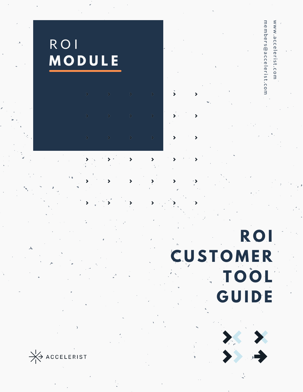

**R O I C U S T O M E R T O O L G U I D E**

w w

w . a c c e l e r i s t. c o m m e m b e r s @ a c c e l e r i s t. c o

 $\exists$ 

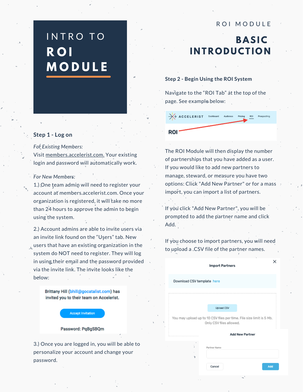# INTRO TO **R O I M O D U L E**

## ROI MODULE

## **BASIC I N T R O D UCT I O N**

### **Step 2 - Begin Using the ROI System**

Navigate to the "ROI Tab" at the top of the page. See example below:

| A ACCELERIST | Dashboard | Audience | Pricing | RDI | Prospecting |
|--------------|-----------|----------|---------|-----|-------------|
| <b>ROI</b>   |           |          |         |     |             |

#### **Step 1 - Log on**

#### *For Existing Members:*

Visit [members.accelerist.com.](https://members.accelerist.com/dashboard) Your existing login and password will automatically work.

#### *For New Members:*

1.) One team admin will need to register your account at members.accelerist.com. Once your organization is registered, it will take no more than 24 hours to approve the admin to begin using the system.

2.) Account admins are able to invite users via an invite link found on the "Users" tab. New users that have an existing organization in the system do NOT need to register. They will log in using their email and the password provided via the invite link. The invite looks like the below:

> Brittany Hill (bhill@gocatalist.com) has invited you to their team on Accelerist.

#### **Accept Invitation**

#### Password: PqBgSBQm

3.) Once you are logged in, you will be able to personalize your account and change your password.

The ROI Module will then display the number of partnerships that you have added as a user. If you would like to add new partners to manage, steward, or measure you have two options: Click "Add New Partner" or for a mass import, you can import a list of partners.

If you click "Add New Partner", you will be prompted to add the partner name and click Add.

If you choose to import partners, you will need to upload a .CSV file of the partner names.

|                                                                                                 | . .<br><b>Import Partners</b> |  |  |  |  |  |
|-------------------------------------------------------------------------------------------------|-------------------------------|--|--|--|--|--|
|                                                                                                 | Download CSV template here    |  |  |  |  |  |
|                                                                                                 |                               |  |  |  |  |  |
|                                                                                                 | <b>Upload CSV</b>             |  |  |  |  |  |
| You may upload up to 10 CSV files per time. File size limit is 5 Mb.<br>Only CSV files allowed. |                               |  |  |  |  |  |
|                                                                                                 | <b>Add New Partner</b>        |  |  |  |  |  |
|                                                                                                 | Partner Name<br>Add<br>Cancel |  |  |  |  |  |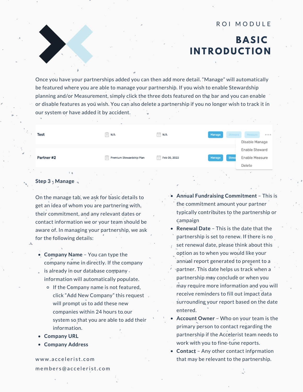## **BASIC I N T R O D UCT I O N**

Once you have your partnerships added you can then add more detail. "Manage" will automatically be featured where you are able to manage your partnership. If you wish to enable Stewardship planning and/or Measurement, simply click the three dots featured on the bar and you can enable or disable features as you wish. You can also delete a partnership if you no longer wish to track it in our system or have added it by accident.

| Test                            | $\equiv$ N/A                      | <b>D</b><br><b>D</b><br><b>D</b><br><b>D</b><br><b>D</b><br><b>D</b> | Manage<br>Steward | Measure<br>0.0.0.1<br>Disable Manage       |
|---------------------------------|-----------------------------------|----------------------------------------------------------------------|-------------------|--------------------------------------------|
| Partner#2                       | $\equiv$ Premium Stewardship Plan | Feb 05, 2022<br>Ħ                                                    | Stewa<br>Manage   | Enable Steward<br>Enable Measure<br>Delete |
| $\sim$<br>the state of the con- | the contract of the con-          |                                                                      |                   |                                            |

### **Step 3 - Manage**

On the manage tab, we ask for basic details to get an idea of whom you are partnering with, their commitment, and any relevant dates or contact information we or your team should be aware of. In managing your partnership, we ask for the following details:

- **Company Name** You can type the company name in directly. If the company is already in our database company information will automatically populate.
	- o If the Company name is not featured, click "Add New Company" this request will prompt us to add these new companies within 24 hours to our system so that you are able to add their information.
- **Company URL**
- **Company Address**

www.accelerist.com m e m b e r s @ a c c e l e r i s t. c o m

- **Annual Fundraising Commitment** This is the commitment amount your partner typically contributes to the partnership or campaign
- **Renewal Date** This is the date that the partnership is set to renew. If there is no set renewal date, please think about this option as to when you would like your annual report generated to present to a partner. This date helps us track when a partnership may conclude or when you may require more information and you will receive reminders to fill out impact data surrounding your report based on the date entered.
- **Account Owner** Who on your team is the primary person to contact regarding the partnership if the Accelerist team needs to work with you to fine-tune reports.
- **Contact** Any other contact information that may be relevant to the partnership.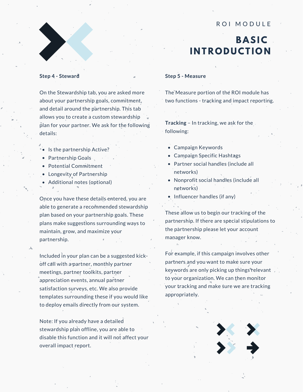## **BASIC I N T R O D UCT I O N**

#### **Step 4 - Steward**

On the Stewardship tab, you are asked more about your partnership goals, commitment, and detail around the partnership. This tab allows you to create a custom stewardship plan for your partner. We ask for the following details:

- $\bullet$  Is the partnership Active?
- Partnership Goals
- Potential Commitment
- Longevity of Partnership
- Additional notes (optional)

Once you have these details entered, you are able to generate a recommended stewardship plan based on your partnership goals. These plans make suggestions surrounding ways to maintain, grow, and maximize your partnership.

Included in your plan can be a suggested kickoff call with a partner, monthly partner meetings, partner toolkits, partner appreciation events, annual partner satisfaction surveys, etc. We also provide templates surrounding these if you would like to deploy emails directly from our system.

Note: If you already have a detailed stewardship plan offline, you are able to disable this function and it will not affect your overall impact report.

#### **Step 5 - Measure**

The Measure portion of the ROI module has two functions - tracking and impact reporting.

**Tracking** – In tracking, we ask for the following:

- Campaign Keywords
- Campaign Specific Hashtags
- Partner social handles (include all networks)
- Nonprofit social handles (include all networks)
- $\bullet$  Influencer handles (if any)

These allow us to begin our tracking of the partnership. If there are special stipulations to the partnership please let your account manager know.

For example, if this campaign involves other partners and you want to make sure your keywords are only picking up things relevant to your organization. We can then monitor your tracking and make sure we are tracking appropriately.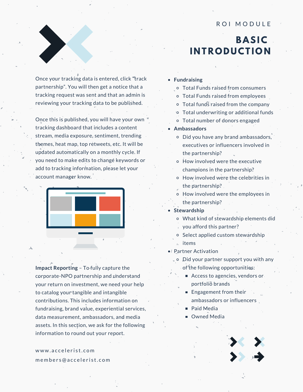## **BASIC I N T R O D UCT I O N**

Once your tracking data is entered, click "track partnership". You will then get a notice that a tracking request was sent and that an admin is reviewing your tracking data to be published.

Once this is published, you will have your own tracking dashboard that includes a content stream, media exposure, sentiment, trending themes, heat map, top retweets, etc. It will be updated automatically on a monthly cycle. If you need to make edits to change keywords or add to tracking information, please let your account manager know.



**Impact Reporting** – To fully capture the corporate-NPO partnership and understand your return on investment, we need your help to catalog your tangible and intangible contributions. This includes information on fundraising, brand value, experiential services, data measurement, ambassadors, and media assets. In this section, we ask for the following information to round out your report.

www.accelerist.com m e m b e r s @ a c c e l e r i s t. c o m

#### **Fundraising**

- Total Funds raised from consumers
- Total Funds raised from employees
- Total funds raised from the company
- Total underwriting or additional funds
- Total number of donors engaged

#### **Ambassadors**

- Did you have any brand ambassadors, executives or influencers involved in the partnership?
- How involved were the executive champions in the partnership?
- How involved were the celebrities in the partnership?
- How involved were the employees in the partnership?

#### **Stewardship**

- What kind of stewardship elements did
- you afford this partner?
- o Select applied custom stewardship  $\sqrt{ }$ items
- Partner Activation
	- Did your partner support you with any of the following opportunities:
		- Access to agencies, vendors or portfolio brands
		- Engagement from their ambassadors or influencers
		- Paid Media
		- **Dwned Media**

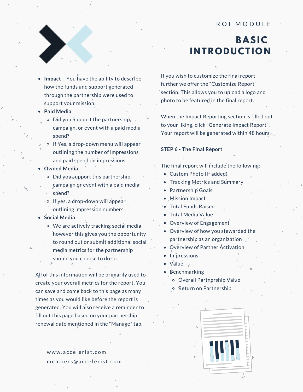## **BASIC I N T R O D UCT I O N**

- **Impact** You have the ability to describe how the funds and support generated through the partnership were used to support your mission.
- **Paid Media**
	- Did you Support the partnership, campaign, or event with a paid media spend?
- o If Yes, a drop-down menu will appear outlining the number of impressions and paid spend on impressions
- **Owned Media**
	- $\circ$  Did you support this partnership, campaign or event with a paid media spend?
	- o If yes, a drop-down will appear outlining impression numbers
- **Social Media**
	- We are actively tracking social media however this gives you the opportunity to round out or submit additional social media metrics for the partnership should you choose to do so.

All of this information will be primarily used to create your overall metrics for the report. You can save and come back to this page as many times as you would like before the report is generated. You will also receive a reminder to fill out this page based on your partnership renewal date mentioned in the "Manage" tab.

> www.accelerist.com m e m b e r s @ a c c e l e r i s t. c o m

If you wish to customize the final report further we offer the "Customize Report" section. This allows you to upload a logo and photo to be featured in the final report.

When the Impact Reporting section is filled out to your liking, click "Generate Impact Report". Your report will be generated within 48 hours.

#### **STEP 6 - The Final Report**

- The final report will include the following:
	- Custom Photo (If added)
	- Tracking Metrics and Summary
	- Partnership Goals
	- Mission Impact
	- Total Funds Raised
	- Total Media Value
	- Overview of Engagement
	- Overview of how you stewarded the partnership as an organization
	- Overview of Partner Activation
	- Impressions
	- $\bullet$  Value  $\cdot$
	- Benchmarking
		- Overall Partnership Value
		- Return on Partnership

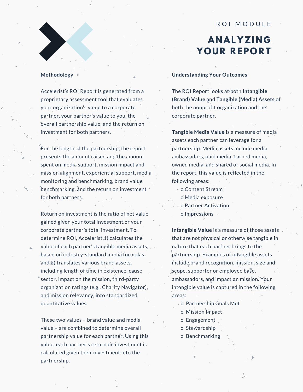## **A N AL YZI N G Y O U R R EP O R T**

#### **Methodology**

Accelerist's ROI Report is generated from a proprietary assessment tool that evaluates your organization's value to a corporate partner, your partner's value to you, the overall partnership value, and the return on investment for both partners.

For the length of the partnership, the report presents the amount raised and the amount spent on media support, mission impact and mission alignment, experiential support, media monitoring and benchmarking, brand value benchmarking, and the return on investment for both partners.

Return on investment is the ratio of net value gained given your total investment or your corporate partner's total investment. To determine ROI, Accelerist<sub>1</sub>) calculates the value of each partner's tangible media assets, based on industry-standard media formulas, and 2) translates various brand assets, including length of time in existence, cause sector, impact on the mission, third-party organization ratings (e.g., Charity Navigator), and mission relevancy, into standardized quantitative values.

These two values – brand value and media value – are combined to determine overall partnership value for each partner. Using this value, each partner's return on investment is calculated given their investment into the partnership.

#### **Understanding Your Outcomes**

The ROI Report looks at both **Intangible (Brand) Value** and **Tangible (Media) Assets** of both the nonprofit organization and the corporate partner.

**Tangible Media Value** is a measure of media assets each partner can leverage for a partnership. Media assets include media ambassadors, paid media, earned media, owned media, and shared or social media. In the report, this value is reflected in the following areas:

- o Content Stream
	- o Media exposure
- o Partner Activation
- o Impressions

**Intangible Value** is a measure of those assets that are not physical or otherwise tangible in nature that each partner brings to the partnership. Examples of intangible assets include brand recognition, mission, size and scope, supporter or employee base, ambassadors, and impact on mission. Your intangible value is captured in the following areas:

- o Partnership Goals Met
- o Mission Impact
- o Engagement
- o Stewardship
- o Benchmarking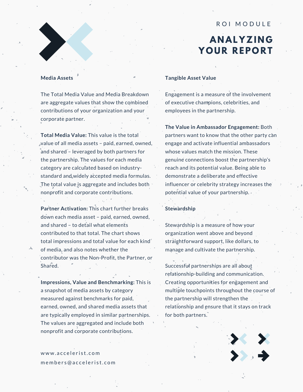## **A N AL YZI N G Y O U R R EP O R T**

#### **Media Assets**

The Total Media Value and Media Breakdown are aggregate values that show the combined contributions of your organization and your corporate partner.

**Total Media Value:** This value is the total value of all media assets – paid, earned, owned, and shared - leveraged by both partners for the partnership. The values for each media category are calculated based on industrystandard and widely accepted media formulas. The total value is aggregate and includes both nonprofit and corporate contributions.

**Partner Activation:** This chart further breaks down each media asset – paid, earned, owned, and shared - to detail what elements contributed to that total. The chart shows total impressions and total value for each kind of media, and also notes whether the contributor was the Non-Profit, the Partner, or Shared.

**Impressions, Value and Benchmarking:** This is a snapshot of media assets by category measured against benchmarks for paid, earned, owned, and shared media assets that are typically employed in similar partnerships. The values are aggregated and include both nonprofit and corporate contributions.

## www.accelerist.com m e m b e r s @ a c c e l e r i s t. c o m

#### **Tangible Asset Value**

Engagement is a measure of the involvement of executive champions, celebrities, and employees in the partnership.

**The Value in Ambassador Engagement:** Both partners want to know that the other party can engage and activate influential ambassadors whose values match the mission. These genuine connections boost the partnership's reach and its potential value. Being able to demonstrate a deliberate and effective influencer or celebrity strategy increases the potential value of your partnership.  $\cdot$  ,  $\cdot$ 

#### **Stewardship**

Stewardship is a measure of how your organization went above and beyond straightforward support, like dollars, to manage and cultivate the partnership.

Successful partnerships are all about relationship-building and communication. Creating opportunities for engagement and multiple touchpoints throughout the course of the partnership will strengthen the relationship and ensure that it stays on track for both partners.